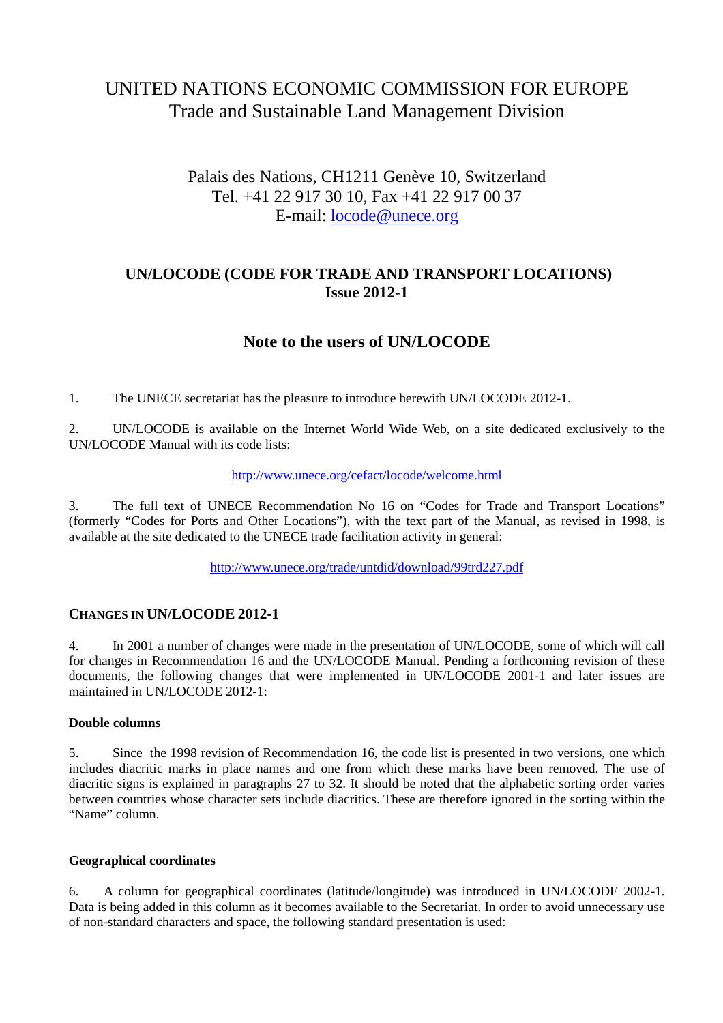# UNITED NATIONS ECONOMIC COMMISSION FOR EUROPE Trade and Sustainable Land Management Division

# Palais des Nations, CH1211 Genève 10, Switzerland Tel. +41 22 917 30 10, Fax +41 22 917 00 37 E-mail: locode@unece.org

## **UN/LOCODE (CODE FOR TRADE AND TRANSPORT LOCATIONS) Issue 2012-1**

# **Note to the users of UN/LOCODE**

1. The UNECE secretariat has the pleasure to introduce herewith UN/LOCODE 2012-1.

2. UN/LOCODE is available on the Internet World Wide Web, on a site dedicated exclusively to the UN/LOCODE Manual with its code lists:

#### http://www.unece.org/cefact/locode/welcome.html

3. The full text of UNECE Recommendation No 16 on "Codes for Trade and Transport Locations" (formerly "Codes for Ports and Other Locations"), with the text part of the Manual, as revised in 1998, is available at the site dedicated to the UNECE trade facilitation activity in general:

http://www.unece.org/trade/untdid/download/99trd227.pdf

## **CHANGES IN UN/LOCODE 2012-1**

4. In 2001 a number of changes were made in the presentation of UN/LOCODE, some of which will call for changes in Recommendation 16 and the UN/LOCODE Manual. Pending a forthcoming revision of these documents, the following changes that were implemented in UN/LOCODE 2001-1 and later issues are maintained in UN/LOCODE 2012-1:

#### **Double columns**

5. Since the 1998 revision of Recommendation 16, the code list is presented in two versions, one which includes diacritic marks in place names and one from which these marks have been removed. The use of diacritic signs is explained in paragraphs 27 to 32. It should be noted that the alphabetic sorting order varies between countries whose character sets include diacritics. These are therefore ignored in the sorting within the "Name" column.

#### **Geographical coordinates**

6. A column for geographical coordinates (latitude/longitude) was introduced in UN/LOCODE 2002-1. Data is being added in this column as it becomes available to the Secretariat. In order to avoid unnecessary use of non-standard characters and space, the following standard presentation is used: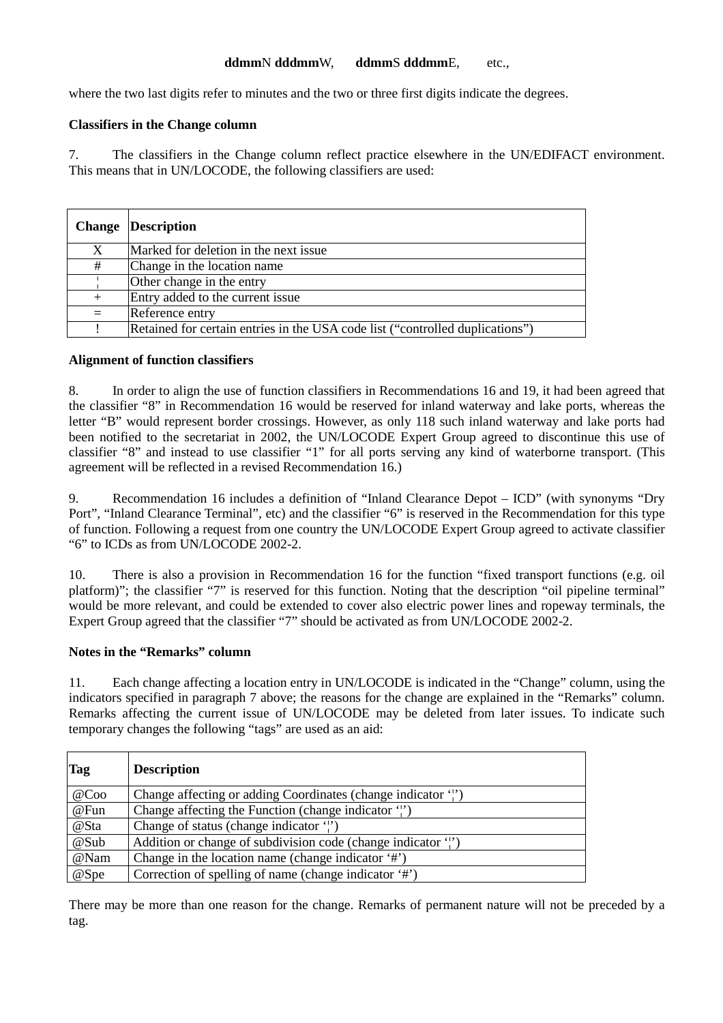#### **ddmm**N **dddmm**W, **ddmm**S **dddmm**E, etc.,

where the two last digits refer to minutes and the two or three first digits indicate the degrees.

#### **Classifiers in the Change column**

7. The classifiers in the Change column reflect practice elsewhere in the UN/EDIFACT environment. This means that in UN/LOCODE, the following classifiers are used:

|     | <b>Change Description</b>                                                     |
|-----|-------------------------------------------------------------------------------|
| X   | Marked for deletion in the next issue                                         |
| #   | Change in the location name                                                   |
|     | Other change in the entry                                                     |
| $+$ | Entry added to the current issue                                              |
| $=$ | Reference entry                                                               |
|     | Retained for certain entries in the USA code list ("controlled duplications") |

#### **Alignment of function classifiers**

8. In order to align the use of function classifiers in Recommendations 16 and 19, it had been agreed that the classifier "8" in Recommendation 16 would be reserved for inland waterway and lake ports, whereas the letter "B" would represent border crossings. However, as only 118 such inland waterway and lake ports had been notified to the secretariat in 2002, the UN/LOCODE Expert Group agreed to discontinue this use of classifier "8" and instead to use classifier "1" for all ports serving any kind of waterborne transport. (This agreement will be reflected in a revised Recommendation 16.)

9. Recommendation 16 includes a definition of "Inland Clearance Depot – ICD" (with synonyms "Dry Port", "Inland Clearance Terminal", etc) and the classifier "6" is reserved in the Recommendation for this type of function. Following a request from one country the UN/LOCODE Expert Group agreed to activate classifier "6" to ICDs as from UN/LOCODE 2002-2.

10. There is also a provision in Recommendation 16 for the function "fixed transport functions (e.g. oil platform)"; the classifier "7" is reserved for this function. Noting that the description "oil pipeline terminal" would be more relevant, and could be extended to cover also electric power lines and ropeway terminals, the Expert Group agreed that the classifier "7" should be activated as from UN/LOCODE 2002-2.

#### **Notes in the "Remarks" column**

11. Each change affecting a location entry in UN/LOCODE is indicated in the "Change" column, using the indicators specified in paragraph 7 above; the reasons for the change are explained in the "Remarks" column. Remarks affecting the current issue of UN/LOCODE may be deleted from later issues. To indicate such temporary changes the following "tags" are used as an aid:

| <b>Tag</b> | <b>Description</b>                                            |
|------------|---------------------------------------------------------------|
| @Co        | Change affecting or adding Coordinates (change indicator 'i') |
| @Fun       | Change affecting the Function (change indicator ')            |
| @Sta       | Change of status (change indicator $\binom{1}{1}$ )           |
| @Sub       | Addition or change of subdivision code (change indicator ")   |
| @Nam       | Change in the location name (change indicator '#')            |
| @Spe       | Correction of spelling of name (change indicator '#')         |

There may be more than one reason for the change. Remarks of permanent nature will not be preceded by a tag.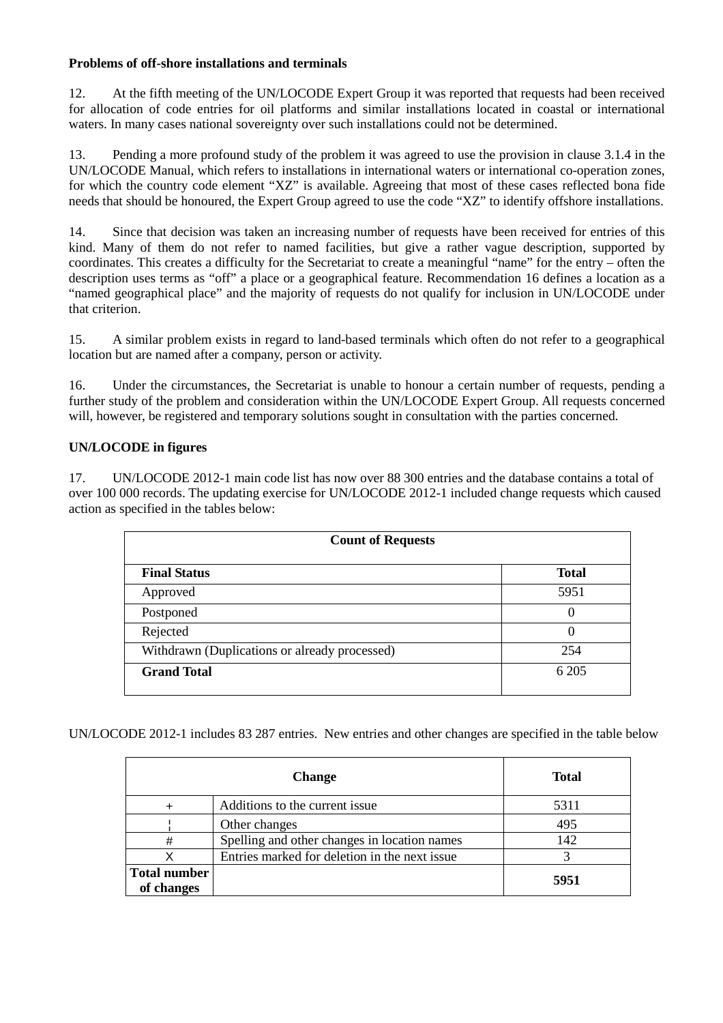### **Problems of off-shore installations and terminals**

12. At the fifth meeting of the UN/LOCODE Expert Group it was reported that requests had been received for allocation of code entries for oil platforms and similar installations located in coastal or international waters. In many cases national sovereignty over such installations could not be determined.

13. Pending a more profound study of the problem it was agreed to use the provision in clause 3.1.4 in the UN/LOCODE Manual, which refers to installations in international waters or international co-operation zones, for which the country code element "XZ" is available. Agreeing that most of these cases reflected bona fide needs that should be honoured, the Expert Group agreed to use the code "XZ" to identify offshore installations.

14. Since that decision was taken an increasing number of requests have been received for entries of this kind. Many of them do not refer to named facilities, but give a rather vague description, supported by coordinates. This creates a difficulty for the Secretariat to create a meaningful "name" for the entry – often the description uses terms as "off" a place or a geographical feature. Recommendation 16 defines a location as a "named geographical place" and the majority of requests do not qualify for inclusion in UN/LOCODE under that criterion.

15. A similar problem exists in regard to land-based terminals which often do not refer to a geographical location but are named after a company, person or activity.

16. Under the circumstances, the Secretariat is unable to honour a certain number of requests, pending a further study of the problem and consideration within the UN/LOCODE Expert Group. All requests concerned will, however, be registered and temporary solutions sought in consultation with the parties concerned.

## **UN/LOCODE in figures**

17. UN/LOCODE 2012-1 main code list has now over 88 300 entries and the database contains a total of over 100 000 records. The updating exercise for UN/LOCODE 2012-1 included change requests which caused action as specified in the tables below:

| <b>Count of Requests</b>                      |              |  |
|-----------------------------------------------|--------------|--|
| <b>Final Status</b>                           | <b>Total</b> |  |
| Approved                                      | 5951         |  |
| Postponed                                     | $\theta$     |  |
| Rejected                                      | $\theta$     |  |
| Withdrawn (Duplications or already processed) | 254          |  |
| <b>Grand Total</b>                            | 6 2 0 5      |  |

UN/LOCODE 2012-1 includes 83 287 entries. New entries and other changes are specified in the table below

| <b>Change</b>                     |                                                | <b>Total</b> |
|-----------------------------------|------------------------------------------------|--------------|
|                                   | Additions to the current issue                 | 5311         |
|                                   | Other changes                                  | 495          |
| #                                 | Spelling and other changes in location names   | 142          |
| Х                                 | Entries marked for deletion in the next issue. |              |
| <b>Total number</b><br>of changes |                                                | 5951         |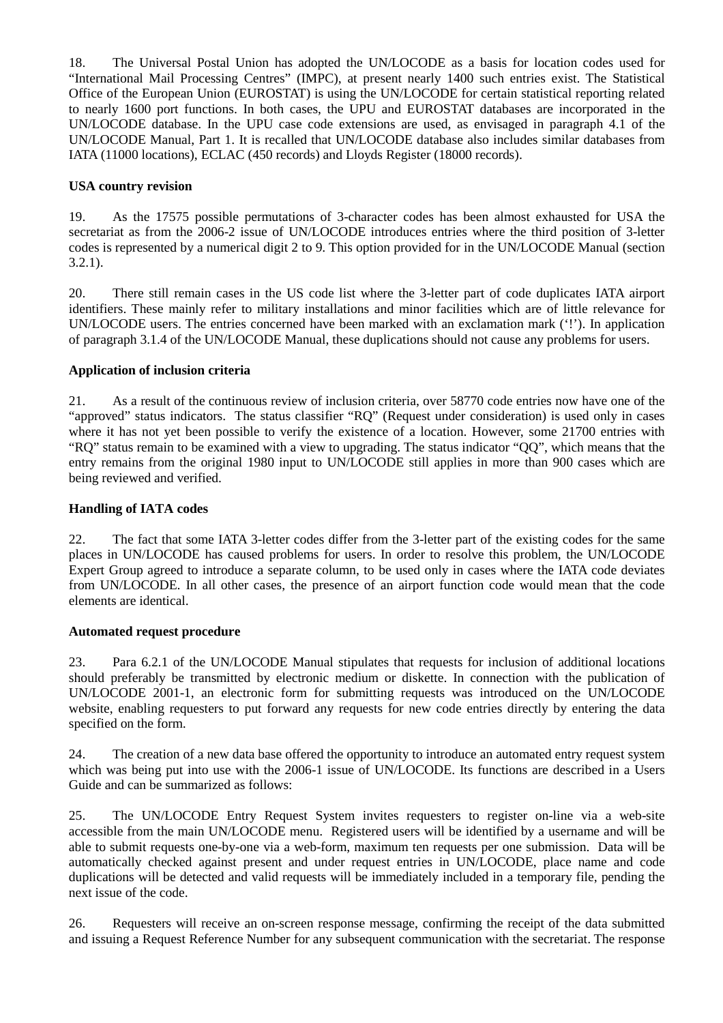18. The Universal Postal Union has adopted the UN/LOCODE as a basis for location codes used for "International Mail Processing Centres" (IMPC), at present nearly 1400 such entries exist. The Statistical Office of the European Union (EUROSTAT) is using the UN/LOCODE for certain statistical reporting related to nearly 1600 port functions. In both cases, the UPU and EUROSTAT databases are incorporated in the UN/LOCODE database. In the UPU case code extensions are used, as envisaged in paragraph 4.1 of the UN/LOCODE Manual, Part 1. It is recalled that UN/LOCODE database also includes similar databases from IATA (11000 locations), ECLAC (450 records) and Lloyds Register (18000 records).

#### **USA country revision**

19. As the 17575 possible permutations of 3-character codes has been almost exhausted for USA the secretariat as from the 2006-2 issue of UN/LOCODE introduces entries where the third position of 3-letter codes is represented by a numerical digit 2 to 9. This option provided for in the UN/LOCODE Manual (section  $3.2.1$ ).

20. There still remain cases in the US code list where the 3-letter part of code duplicates IATA airport identifiers. These mainly refer to military installations and minor facilities which are of little relevance for UN/LOCODE users. The entries concerned have been marked with an exclamation mark ('!'). In application of paragraph 3.1.4 of the UN/LOCODE Manual, these duplications should not cause any problems for users.

### **Application of inclusion criteria**

21. As a result of the continuous review of inclusion criteria, over 58770 code entries now have one of the "approved" status indicators. The status classifier "RQ" (Request under consideration) is used only in cases where it has not yet been possible to verify the existence of a location. However, some 21700 entries with "RQ" status remain to be examined with a view to upgrading. The status indicator "QQ", which means that the entry remains from the original 1980 input to UN/LOCODE still applies in more than 900 cases which are being reviewed and verified.

#### **Handling of IATA codes**

22. The fact that some IATA 3-letter codes differ from the 3-letter part of the existing codes for the same places in UN/LOCODE has caused problems for users. In order to resolve this problem, the UN/LOCODE Expert Group agreed to introduce a separate column, to be used only in cases where the IATA code deviates from UN/LOCODE. In all other cases, the presence of an airport function code would mean that the code elements are identical.

#### **Automated request procedure**

23. Para 6.2.1 of the UN/LOCODE Manual stipulates that requests for inclusion of additional locations should preferably be transmitted by electronic medium or diskette. In connection with the publication of UN/LOCODE 2001-1, an electronic form for submitting requests was introduced on the UN/LOCODE website, enabling requesters to put forward any requests for new code entries directly by entering the data specified on the form.

24. The creation of a new data base offered the opportunity to introduce an automated entry request system which was being put into use with the 2006-1 issue of UN/LOCODE. Its functions are described in a Users Guide and can be summarized as follows:

25. The UN/LOCODE Entry Request System invites requesters to register on-line via a web-site accessible from the main UN/LOCODE menu. Registered users will be identified by a username and will be able to submit requests one-by-one via a web-form, maximum ten requests per one submission. Data will be automatically checked against present and under request entries in UN/LOCODE, place name and code duplications will be detected and valid requests will be immediately included in a temporary file, pending the next issue of the code.

26. Requesters will receive an on-screen response message, confirming the receipt of the data submitted and issuing a Request Reference Number for any subsequent communication with the secretariat. The response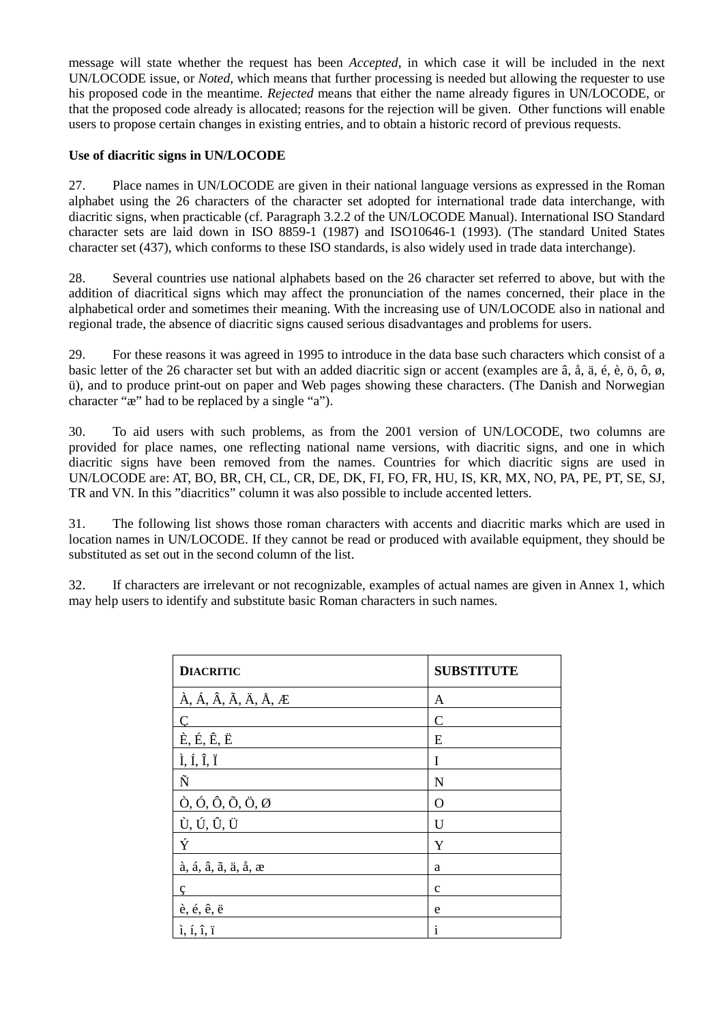message will state whether the request has been *Accepted*, in which case it will be included in the next UN/LOCODE issue, or *Noted,* which means that further processing is needed but allowing the requester to use his proposed code in the meantime. *Rejected* means that either the name already figures in UN/LOCODE, or that the proposed code already is allocated; reasons for the rejection will be given. Other functions will enable users to propose certain changes in existing entries, and to obtain a historic record of previous requests.

#### **Use of diacritic signs in UN/LOCODE**

27. Place names in UN/LOCODE are given in their national language versions as expressed in the Roman alphabet using the 26 characters of the character set adopted for international trade data interchange, with diacritic signs, when practicable (cf. Paragraph 3.2.2 of the UN/LOCODE Manual). International ISO Standard character sets are laid down in ISO 8859-1 (1987) and ISO10646-1 (1993). (The standard United States character set (437), which conforms to these ISO standards, is also widely used in trade data interchange).

28. Several countries use national alphabets based on the 26 character set referred to above, but with the addition of diacritical signs which may affect the pronunciation of the names concerned, their place in the alphabetical order and sometimes their meaning. With the increasing use of UN/LOCODE also in national and regional trade, the absence of diacritic signs caused serious disadvantages and problems for users.

29. For these reasons it was agreed in 1995 to introduce in the data base such characters which consist of a basic letter of the 26 character set but with an added diacritic sign or accent (examples are â, å, ä, é, è, ö, ô, ø, ü), and to produce print-out on paper and Web pages showing these characters. (The Danish and Norwegian character "æ" had to be replaced by a single "a").

30. To aid users with such problems, as from the 2001 version of UN/LOCODE, two columns are provided for place names, one reflecting national name versions, with diacritic signs, and one in which diacritic signs have been removed from the names. Countries for which diacritic signs are used in UN/LOCODE are: AT, BO, BR, CH, CL, CR, DE, DK, FI, FO, FR, HU, IS, KR, MX, NO, PA, PE, PT, SE, SJ, TR and VN. In this "diacritics" column it was also possible to include accented letters.

31. The following list shows those roman characters with accents and diacritic marks which are used in location names in UN/LOCODE. If they cannot be read or produced with available equipment, they should be substituted as set out in the second column of the list.

32. If characters are irrelevant or not recognizable, examples of actual names are given in Annex 1, which may help users to identify and substitute basic Roman characters in such names.

| <b>DIACRITIC</b>                                                          | <b>SUBSTITUTE</b> |
|---------------------------------------------------------------------------|-------------------|
| $\hat{A}$ , Á, Â, Ã, Ä, Å, Æ                                              | A                 |
| $\overline{C}$                                                            | C                 |
| $\dot{E}, \acute{E}, \acute{E}, \ddot{E}$                                 | E                 |
| $\tilde{I}$ , Í, $\tilde{I}$ , Ï                                          | I                 |
| Ñ                                                                         | N                 |
| $\dot{O}$ , $\dot{O}$ , $\ddot{O}$ , $\ddot{O}$ , $\ddot{O}$ , $\ddot{O}$ | O                 |
| Ù, Ú, Û, Ü                                                                | U                 |
| Ý                                                                         | Y                 |
| à, á, â, ã, ä, å, æ                                                       | a                 |
| ç                                                                         | $\mathbf{C}$      |
| è, é, ê, ë                                                                | e                 |
| $i, i, \hat{i}, \hat{i}$                                                  | 1                 |